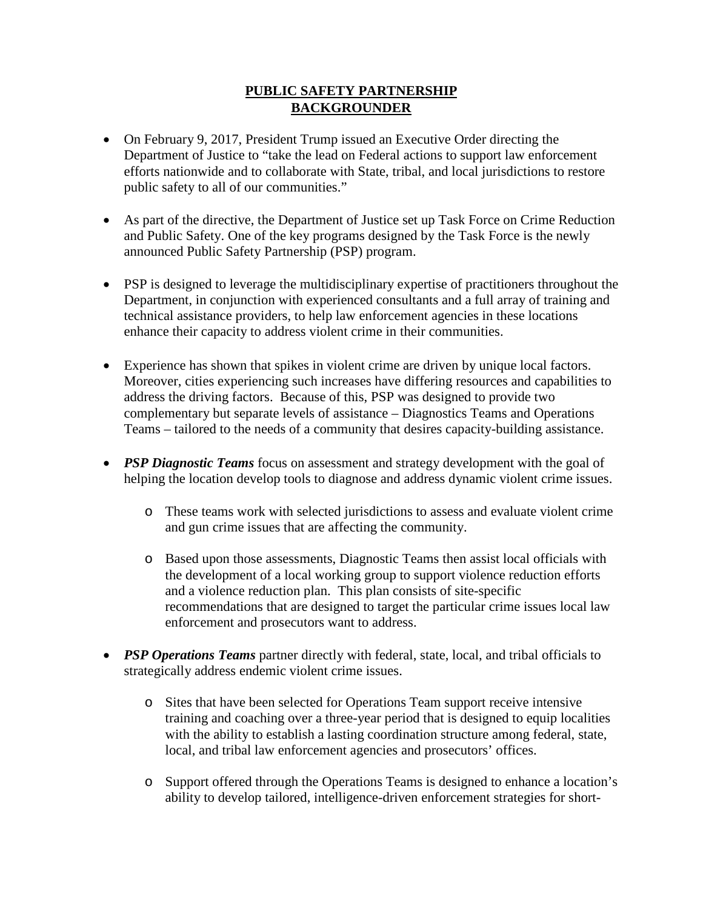## **PUBLIC SAFETY PARTNERSHIP BACKGROUNDER**

- On February 9, 2017, President Trump issued an Executive Order directing the Department of Justice to "take the lead on Federal actions to support law enforcement efforts nationwide and to collaborate with State, tribal, and local jurisdictions to restore public safety to all of our communities."
- As part of the directive, the Department of Justice set up Task Force on Crime Reduction and Public Safety. One of the key programs designed by the Task Force is the newly announced Public Safety Partnership (PSP) program.
- PSP is designed to leverage the multidisciplinary expertise of practitioners throughout the Department, in conjunction with experienced consultants and a full array of training and technical assistance providers, to help law enforcement agencies in these locations enhance their capacity to address violent crime in their communities.
- Experience has shown that spikes in violent crime are driven by unique local factors. Moreover, cities experiencing such increases have differing resources and capabilities to address the driving factors. Because of this, PSP was designed to provide two complementary but separate levels of assistance – Diagnostics Teams and Operations Teams – tailored to the needs of a community that desires capacity-building assistance.
- *PSP Diagnostic Teams* focus on assessment and strategy development with the goal of helping the location develop tools to diagnose and address dynamic violent crime issues.
	- o These teams work with selected jurisdictions to assess and evaluate violent crime and gun crime issues that are affecting the community.
	- o Based upon those assessments, Diagnostic Teams then assist local officials with the development of a local working group to support violence reduction efforts and a violence reduction plan. This plan consists of site-specific recommendations that are designed to target the particular crime issues local law enforcement and prosecutors want to address.
- *PSP Operations Teams* partner directly with federal, state, local, and tribal officials to strategically address endemic violent crime issues.
	- o Sites that have been selected for Operations Team support receive intensive training and coaching over a three-year period that is designed to equip localities with the ability to establish a lasting coordination structure among federal, state, local, and tribal law enforcement agencies and prosecutors' offices.
	- o Support offered through the Operations Teams is designed to enhance a location's ability to develop tailored, intelligence-driven enforcement strategies for short-